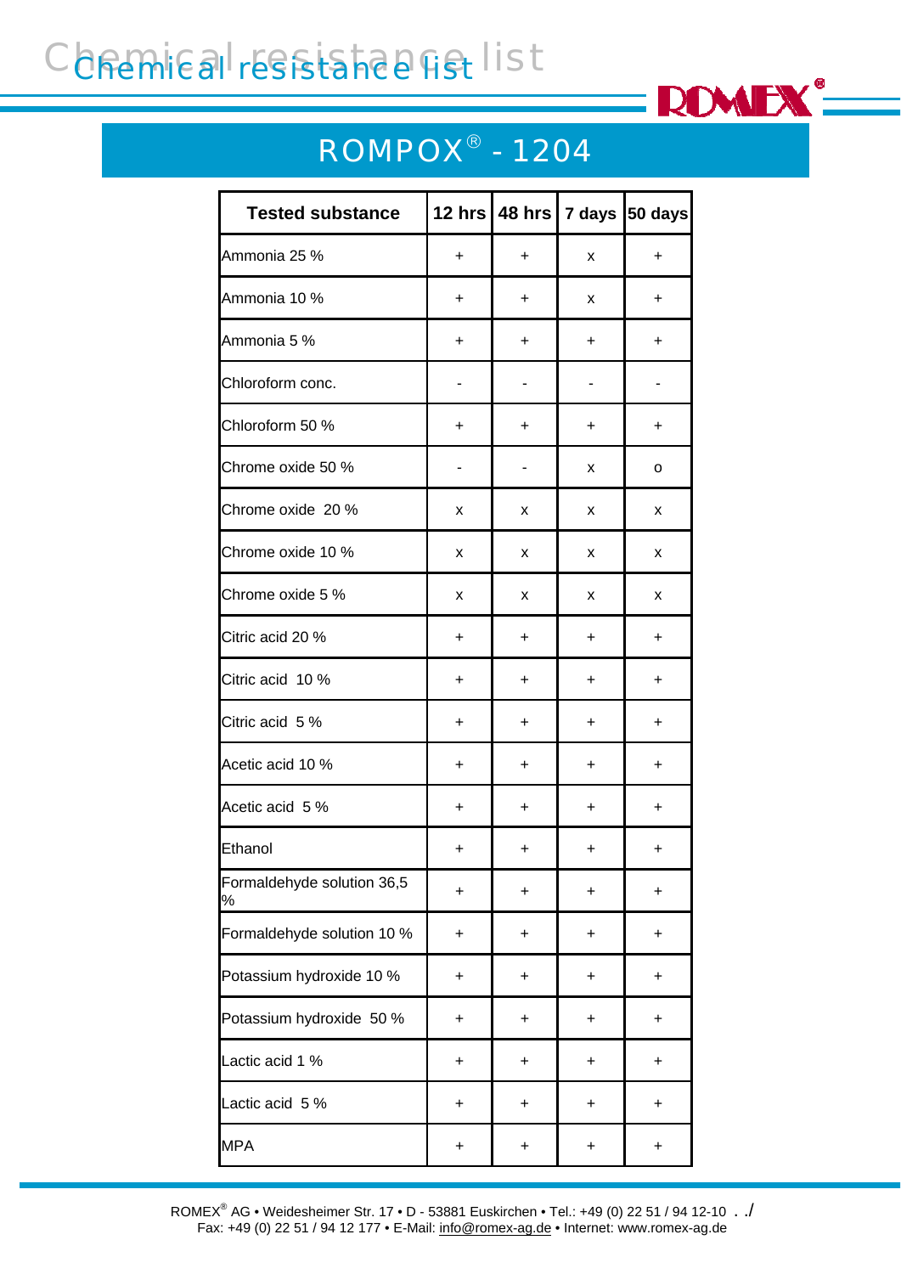## Chemical resistance list



## ROMPOX® - 1204

| <b>Tested substance</b>         |           |           |           | 12 hrs   48 hrs   7 days   50 days |
|---------------------------------|-----------|-----------|-----------|------------------------------------|
| Ammonia 25 %                    | +         | +         | x         | $\ddot{}$                          |
| Ammonia 10 %                    | +         | +         | x         | $\ddot{}$                          |
| Ammonia 5 %                     | $\ddot{}$ | +         | $\ddot{}$ | $\ddot{}$                          |
| Chloroform conc.                | -         |           |           |                                    |
| Chloroform 50 %                 | +         | +         | $\ddot{}$ | +                                  |
| Chrome oxide 50 %               |           |           | x         | о                                  |
| Chrome oxide 20 %               | x         | x         | x         | x                                  |
| Chrome oxide 10 %               | x         | x         | x         | x                                  |
| Chrome oxide 5 %                | x         | x         | x         | x                                  |
| Citric acid 20 %                | +         | +         | +         | $\ddot{}$                          |
| Citric acid 10 %                | +         | +         | $\ddot{}$ | $\ddot{}$                          |
| Citric acid 5 %                 | $\ddot{}$ | +         | $\ddot{}$ | +                                  |
| Acetic acid 10 %                | +         | $\ddot{}$ | +         | $\ddot{}$                          |
| Acetic acid 5 %                 | $\ddot{}$ | +         | +         | $\ddot{}$                          |
| Ethanol                         | +         | +         | +         | +                                  |
| Formaldehyde solution 36,5<br>% | +         | +         | +         | +                                  |
| Formaldehyde solution 10 %      | +         | +         | +         | +                                  |
| Potassium hydroxide 10 %        | +         | +         | +         | +                                  |
| Potassium hydroxide 50 %        | +         | +         | +         | $\ddot{}$                          |
| Lactic acid 1 %                 | +         | +         | +         | +                                  |
| Lactic acid 5 %                 | +         | +         | +         | +                                  |
| <b>MPA</b>                      | $\ddot{}$ | +         | +         | $\ddot{}$                          |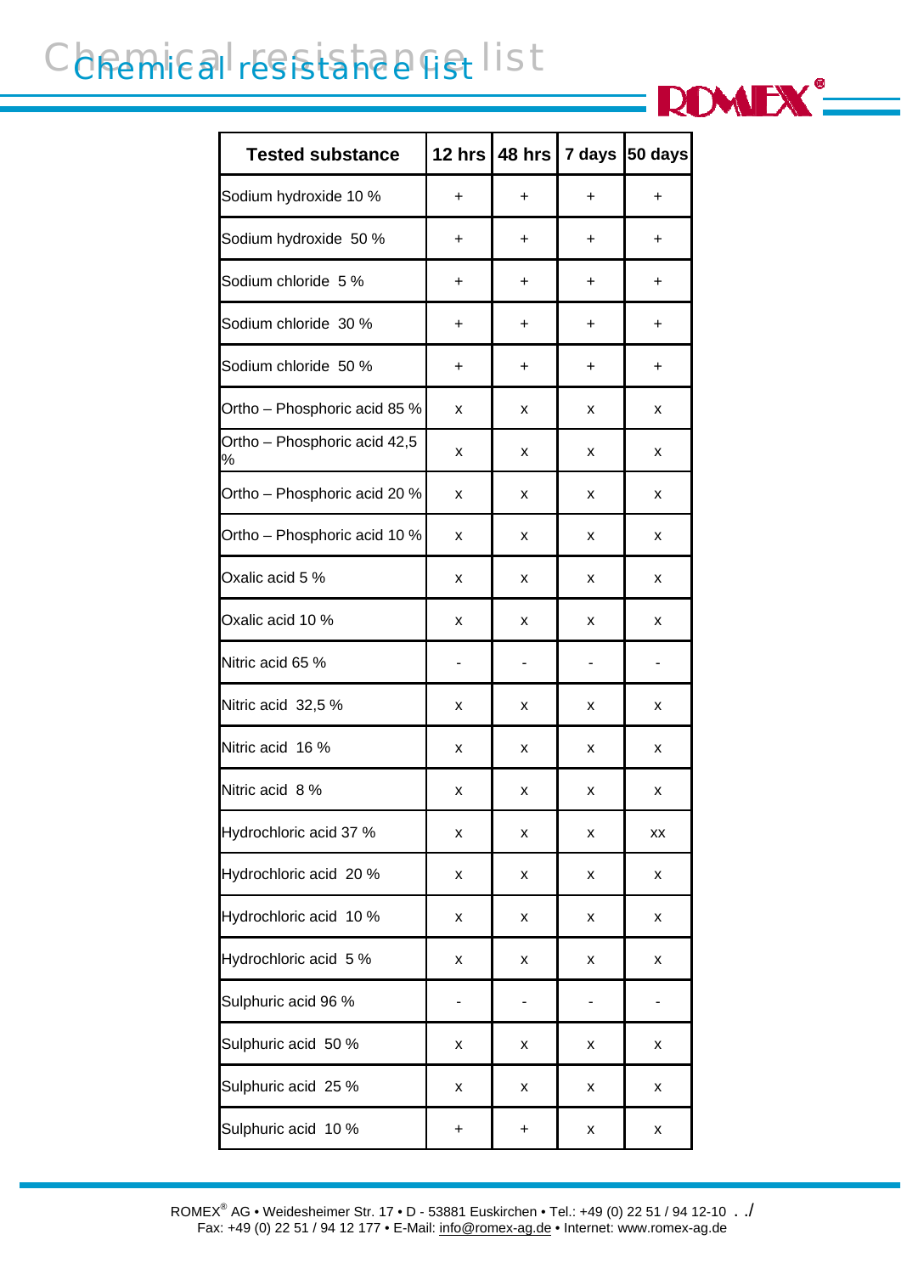## Chemical resistance list